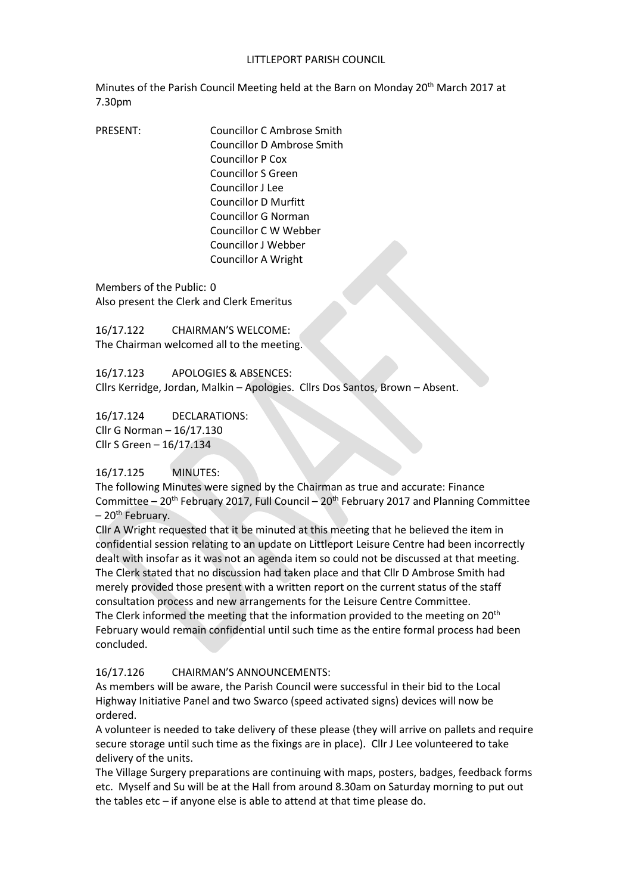#### LITTLEPORT PARISH COUNCIL

Minutes of the Parish Council Meeting held at the Barn on Monday 20th March 2017 at 7.30pm

PRESENT: Councillor C Ambrose Smith Councillor D Ambrose Smith Councillor P Cox Councillor S Green Councillor J Lee Councillor D Murfitt Councillor G Norman Councillor C W Webber Councillor J Webber Councillor A Wright

Members of the Public: 0 Also present the Clerk and Clerk Emeritus

16/17.122 CHAIRMAN'S WELCOME: The Chairman welcomed all to the meeting.

16/17.123 APOLOGIES & ABSENCES: Cllrs Kerridge, Jordan, Malkin – Apologies. Cllrs Dos Santos, Brown – Absent.

16/17.124 DECLARATIONS: Cllr G Norman – 16/17.130 Cllr S Green – 16/17.134

#### 16/17.125 MINUTES:

The following Minutes were signed by the Chairman as true and accurate: Finance Committee  $-20$ <sup>th</sup> February 2017, Full Council  $-20$ <sup>th</sup> February 2017 and Planning Committee  $-20$ <sup>th</sup> February.

Cllr A Wright requested that it be minuted at this meeting that he believed the item in confidential session relating to an update on Littleport Leisure Centre had been incorrectly dealt with insofar as it was not an agenda item so could not be discussed at that meeting. The Clerk stated that no discussion had taken place and that Cllr D Ambrose Smith had merely provided those present with a written report on the current status of the staff consultation process and new arrangements for the Leisure Centre Committee. The Clerk informed the meeting that the information provided to the meeting on 20<sup>th</sup> February would remain confidential until such time as the entire formal process had been concluded.

#### 16/17.126 CHAIRMAN'S ANNOUNCEMENTS:

As members will be aware, the Parish Council were successful in their bid to the Local Highway Initiative Panel and two Swarco (speed activated signs) devices will now be ordered.

A volunteer is needed to take delivery of these please (they will arrive on pallets and require secure storage until such time as the fixings are in place). Cllr J Lee volunteered to take delivery of the units.

The Village Surgery preparations are continuing with maps, posters, badges, feedback forms etc. Myself and Su will be at the Hall from around 8.30am on Saturday morning to put out the tables etc – if anyone else is able to attend at that time please do.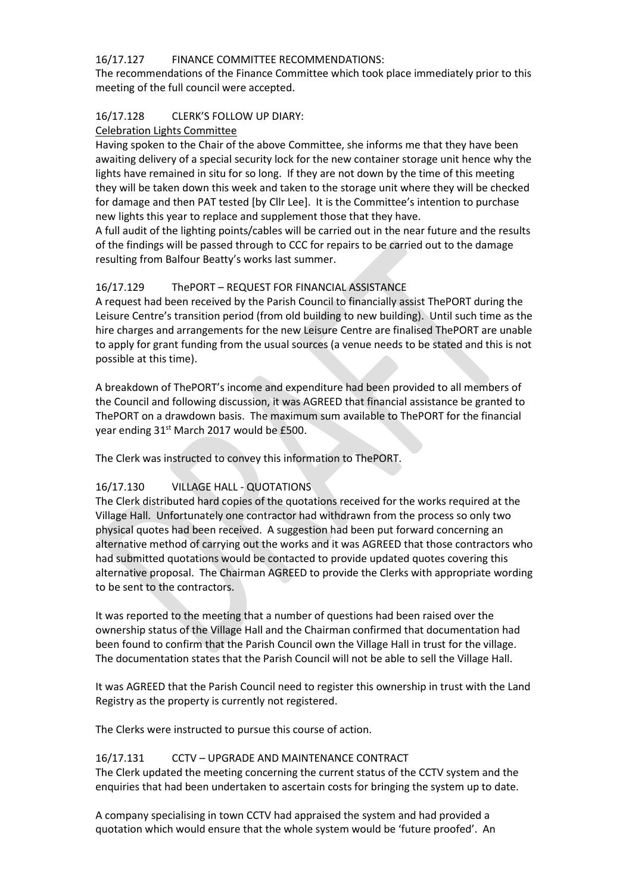# 16/17.127 FINANCE COMMITTEE RECOMMENDATIONS:

The recommendations of the Finance Committee which took place immediately prior to this meeting of the full council were accepted.

#### 16/17.128 CLERK'S FOLLOW UP DIARY:

#### Celebration Lights Committee

Having spoken to the Chair of the above Committee, she informs me that they have been awaiting delivery of a special security lock for the new container storage unit hence why the lights have remained in situ for so long. If they are not down by the time of this meeting they will be taken down this week and taken to the storage unit where they will be checked for damage and then PAT tested [by Cllr Lee]. It is the Committee's intention to purchase new lights this year to replace and supplement those that they have.

A full audit of the lighting points/cables will be carried out in the near future and the results of the findings will be passed through to CCC for repairs to be carried out to the damage resulting from Balfour Beatty's works last summer.

# 16/17.129 ThePORT – REQUEST FOR FINANCIAL ASSISTANCE

A request had been received by the Parish Council to financially assist ThePORT during the Leisure Centre's transition period (from old building to new building). Until such time as the hire charges and arrangements for the new Leisure Centre are finalised ThePORT are unable to apply for grant funding from the usual sources (a venue needs to be stated and this is not possible at this time).

A breakdown of ThePORT's income and expenditure had been provided to all members of the Council and following discussion, it was AGREED that financial assistance be granted to ThePORT on a drawdown basis. The maximum sum available to ThePORT for the financial year ending 31<sup>st</sup> March 2017 would be £500.

The Clerk was instructed to convey this information to ThePORT.

# 16/17.130 VILLAGE HALL - QUOTATIONS

The Clerk distributed hard copies of the quotations received for the works required at the Village Hall. Unfortunately one contractor had withdrawn from the process so only two physical quotes had been received. A suggestion had been put forward concerning an alternative method of carrying out the works and it was AGREED that those contractors who had submitted quotations would be contacted to provide updated quotes covering this alternative proposal. The Chairman AGREED to provide the Clerks with appropriate wording to be sent to the contractors.

It was reported to the meeting that a number of questions had been raised over the ownership status of the Village Hall and the Chairman confirmed that documentation had been found to confirm that the Parish Council own the Village Hall in trust for the village. The documentation states that the Parish Council will not be able to sell the Village Hall.

It was AGREED that the Parish Council need to register this ownership in trust with the Land Registry as the property is currently not registered.

The Clerks were instructed to pursue this course of action.

# 16/17.131 CCTV – UPGRADE AND MAINTENANCE CONTRACT

The Clerk updated the meeting concerning the current status of the CCTV system and the enquiries that had been undertaken to ascertain costs for bringing the system up to date.

A company specialising in town CCTV had appraised the system and had provided a quotation which would ensure that the whole system would be 'future proofed'. An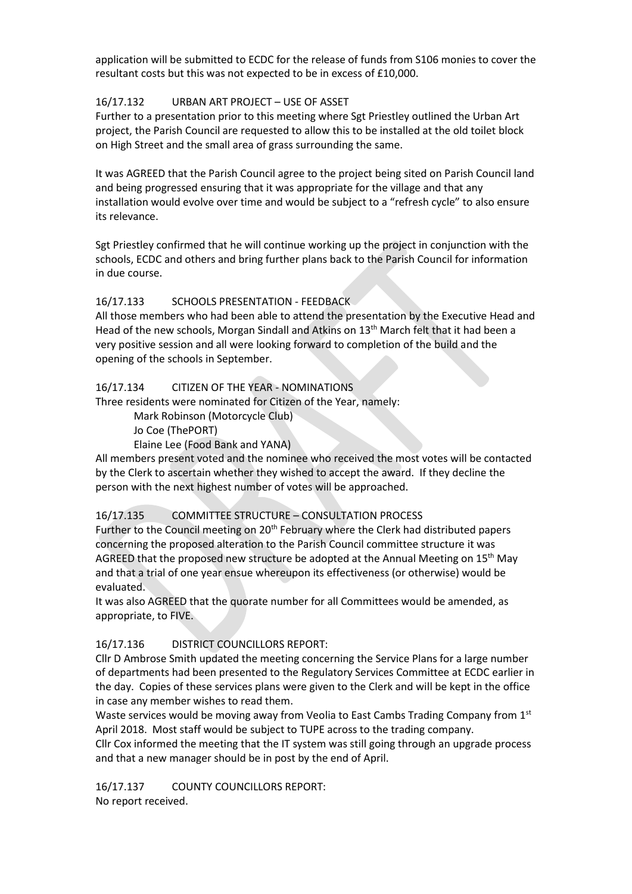application will be submitted to ECDC for the release of funds from S106 monies to cover the resultant costs but this was not expected to be in excess of £10,000.

#### 16/17.132 URBAN ART PROJECT – USE OF ASSET

Further to a presentation prior to this meeting where Sgt Priestley outlined the Urban Art project, the Parish Council are requested to allow this to be installed at the old toilet block on High Street and the small area of grass surrounding the same.

It was AGREED that the Parish Council agree to the project being sited on Parish Council land and being progressed ensuring that it was appropriate for the village and that any installation would evolve over time and would be subject to a "refresh cycle" to also ensure its relevance.

Sgt Priestley confirmed that he will continue working up the project in conjunction with the schools, ECDC and others and bring further plans back to the Parish Council for information in due course.

# 16/17.133 SCHOOLS PRESENTATION - FEEDBACK

All those members who had been able to attend the presentation by the Executive Head and Head of the new schools, Morgan Sindall and Atkins on 13<sup>th</sup> March felt that it had been a very positive session and all were looking forward to completion of the build and the opening of the schools in September.

#### 16/17.134 CITIZEN OF THE YEAR - NOMINATIONS

Three residents were nominated for Citizen of the Year, namely:

Mark Robinson (Motorcycle Club)

Jo Coe (ThePORT)

Elaine Lee (Food Bank and YANA)

All members present voted and the nominee who received the most votes will be contacted by the Clerk to ascertain whether they wished to accept the award. If they decline the person with the next highest number of votes will be approached.

# 16/17.135 COMMITTEE STRUCTURE – CONSULTATION PROCESS

Further to the Council meeting on 20<sup>th</sup> February where the Clerk had distributed papers concerning the proposed alteration to the Parish Council committee structure it was AGREED that the proposed new structure be adopted at the Annual Meeting on 15<sup>th</sup> May and that a trial of one year ensue whereupon its effectiveness (or otherwise) would be evaluated.

It was also AGREED that the quorate number for all Committees would be amended, as appropriate, to FIVE.

# 16/17.136 DISTRICT COUNCILLORS REPORT:

Cllr D Ambrose Smith updated the meeting concerning the Service Plans for a large number of departments had been presented to the Regulatory Services Committee at ECDC earlier in the day. Copies of these services plans were given to the Clerk and will be kept in the office in case any member wishes to read them.

Waste services would be moving away from Veolia to East Cambs Trading Company from 1st April 2018. Most staff would be subject to TUPE across to the trading company.

Cllr Cox informed the meeting that the IT system was still going through an upgrade process and that a new manager should be in post by the end of April.

16/17.137 COUNTY COUNCILLORS REPORT: No report received.